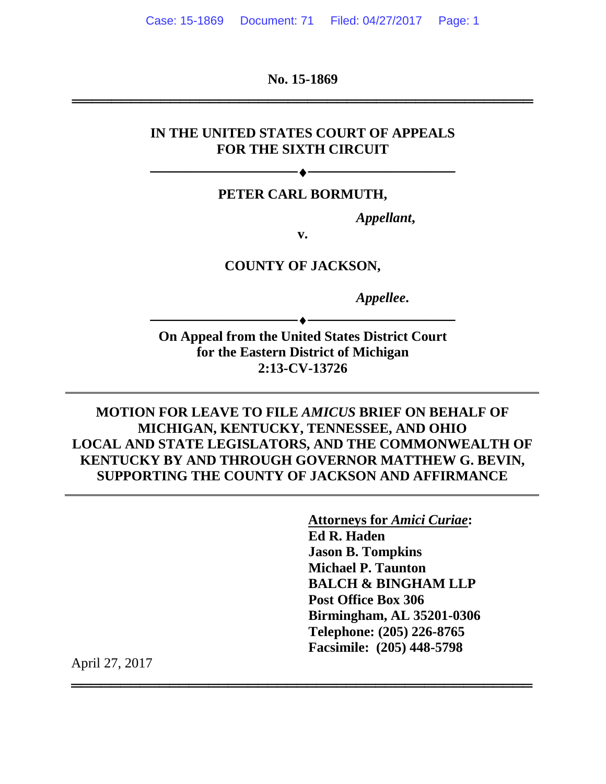**No. 15-1869**

═══════════════════════════════════════════════

#### **IN THE UNITED STATES COURT OF APPEALS FOR THE SIXTH CIRCUIT**

#### **PETER CARL BORMUTH,**

──────────<del>─────</del>

*Appellant***,**

**v.**

**COUNTY OF JACKSON,**

*Appellee***.**

**On Appeal from the United States District Court for the Eastern District of Michigan 2:13-CV-13726**

──────────<del>─</del>◆───────────────────

**MOTION FOR LEAVE TO FILE** *AMICUS* **BRIEF ON BEHALF OF MICHIGAN, KENTUCKY, TENNESSEE, AND OHIO LOCAL AND STATE LEGISLATORS, AND THE COMMONWEALTH OF KENTUCKY BY AND THROUGH GOVERNOR MATTHEW G. BEVIN, SUPPORTING THE COUNTY OF JACKSON AND AFFIRMANCE**

═══════════════════════════════════════════════

**Attorneys for** *Amici Curiae***: Ed R. Haden Jason B. Tompkins Michael P. Taunton BALCH & BINGHAM LLP Post Office Box 306 Birmingham, AL 35201-0306 Telephone: (205) 226-8765 Facsimile: (205) 448-5798**

April 27, 2017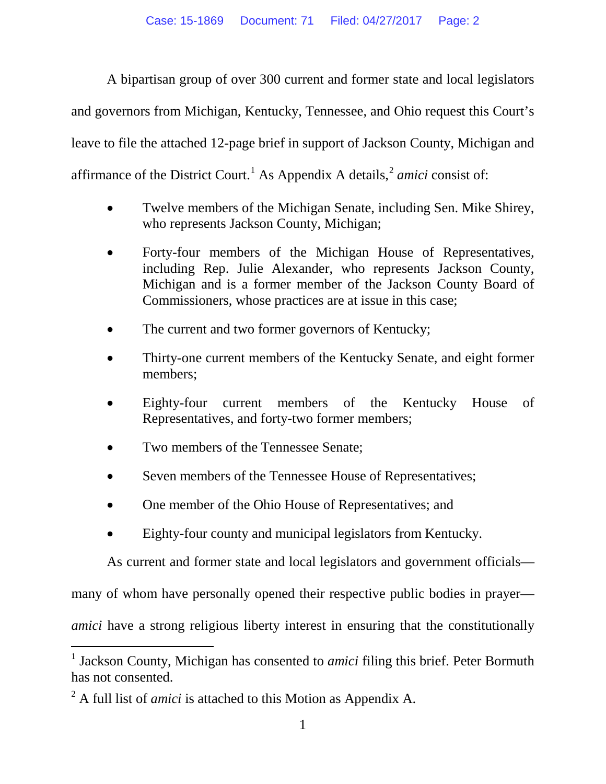A bipartisan group of over 300 current and former state and local legislators and governors from Michigan, Kentucky, Tennessee, and Ohio request this Court's leave to file the attached 12-page brief in support of Jackson County, Michigan and affirmance of the District Court.<sup>[1](#page-1-0)</sup> As Appendix A details,  $\frac{2}{3}$  $\frac{2}{3}$  $\frac{2}{3}$  *amici* consist of:

- Twelve members of the Michigan Senate, including Sen. Mike Shirey, who represents Jackson County, Michigan;
- Forty-four members of the Michigan House of Representatives, including Rep. Julie Alexander, who represents Jackson County, Michigan and is a former member of the Jackson County Board of Commissioners, whose practices are at issue in this case;
- The current and two former governors of Kentucky;
- Thirty-one current members of the Kentucky Senate, and eight former members;
- Eighty-four current members of the Kentucky House of Representatives, and forty-two former members;
- Two members of the Tennessee Senate;
- Seven members of the Tennessee House of Representatives;
- One member of the Ohio House of Representatives; and
- Eighty-four county and municipal legislators from Kentucky.

As current and former state and local legislators and government officials—

many of whom have personally opened their respective public bodies in prayer—

*amici* have a strong religious liberty interest in ensuring that the constitutionally

<span id="page-1-0"></span><sup>&</sup>lt;sup>1</sup> Jackson County, Michigan has consented to *amici* filing this brief. Peter Bormuth has not consented.

<span id="page-1-1"></span><sup>2</sup> A full list of *amici* is attached to this Motion as Appendix A.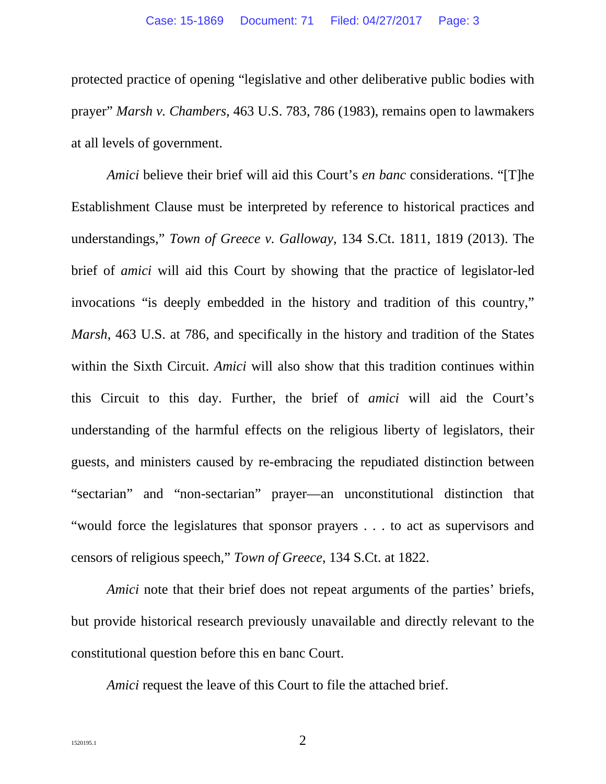protected practice of opening "legislative and other deliberative public bodies with prayer" *Marsh v. Chambers*, 463 U.S. 783, 786 (1983), remains open to lawmakers at all levels of government.

*Amici* believe their brief will aid this Court's *en banc* considerations. "[T]he Establishment Clause must be interpreted by reference to historical practices and understandings," *Town of Greece v. Galloway*, 134 S.Ct. 1811, 1819 (2013). The brief of *amici* will aid this Court by showing that the practice of legislator-led invocations "is deeply embedded in the history and tradition of this country," *Marsh*, 463 U.S. at 786, and specifically in the history and tradition of the States within the Sixth Circuit. *Amici* will also show that this tradition continues within this Circuit to this day. Further, the brief of *amici* will aid the Court's understanding of the harmful effects on the religious liberty of legislators, their guests, and ministers caused by re-embracing the repudiated distinction between "sectarian" and "non-sectarian" prayer—an unconstitutional distinction that "would force the legislatures that sponsor prayers . . . to act as supervisors and censors of religious speech," *Town of Greece*, 134 S.Ct. at 1822.

*Amici* note that their brief does not repeat arguments of the parties' briefs, but provide historical research previously unavailable and directly relevant to the constitutional question before this en banc Court.

*Amici* request the leave of this Court to file the attached brief.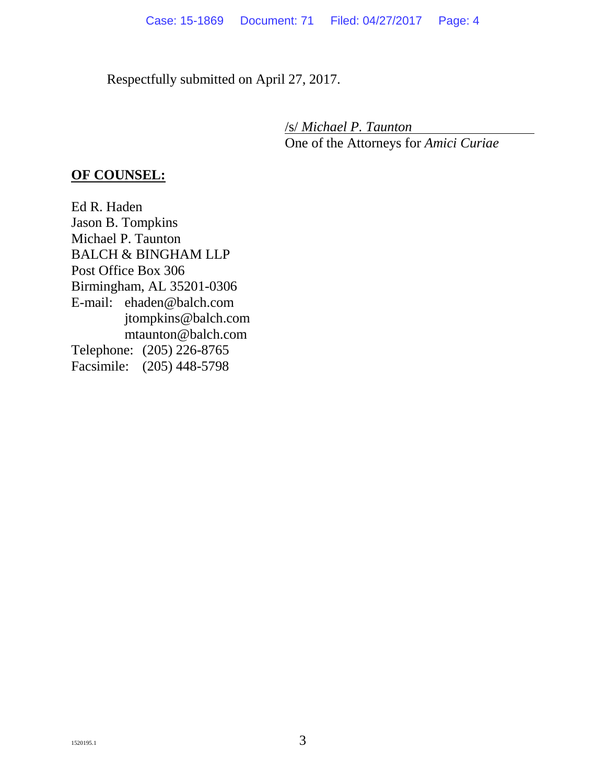Respectfully submitted on April 27, 2017.

/s/ *Michael P. Taunton* One of the Attorneys for *Amici Curiae*

#### **OF COUNSEL:**

Ed R. Haden Jason B. Tompkins Michael P. Taunton BALCH & BINGHAM LLP Post Office Box 306 Birmingham, AL 35201-0306 E-mail: ehaden@balch.com jtompkins@balch.com mtaunton@balch.com Telephone: (205) 226-8765 Facsimile: (205) 448-5798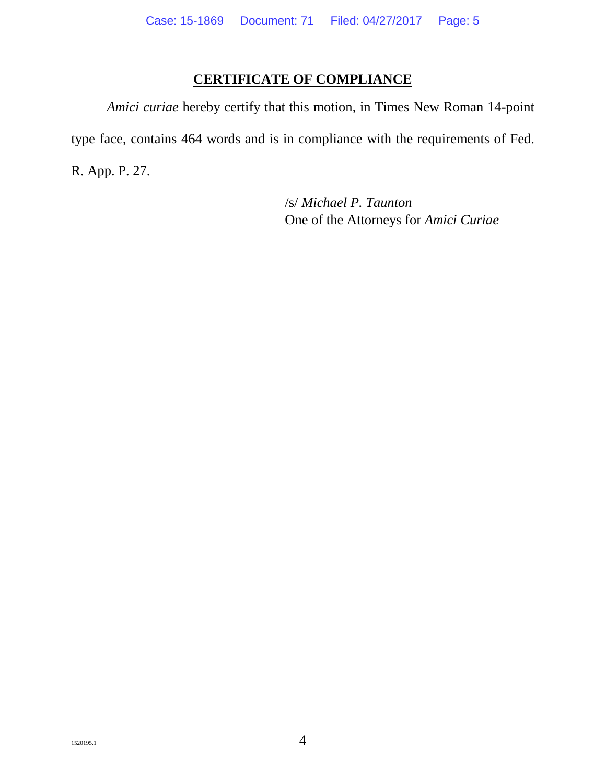#### **CERTIFICATE OF COMPLIANCE**

*Amici curiae* hereby certify that this motion, in Times New Roman 14-point type face, contains 464 words and is in compliance with the requirements of Fed. R. App. P. 27.

> /s/ *Michael P. Taunton* One of the Attorneys for *Amici Curiae*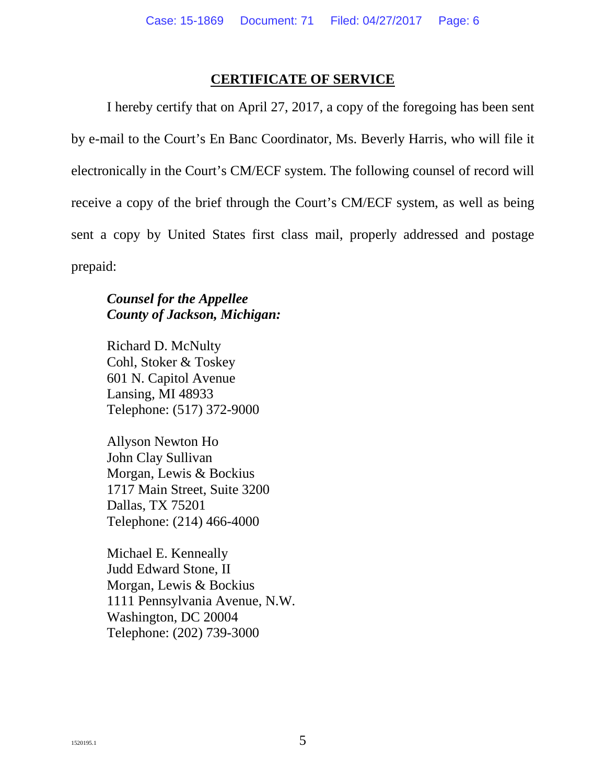#### **CERTIFICATE OF SERVICE**

I hereby certify that on April 27, 2017, a copy of the foregoing has been sent by e-mail to the Court's En Banc Coordinator, Ms. Beverly Harris, who will file it electronically in the Court's CM/ECF system. The following counsel of record will receive a copy of the brief through the Court's CM/ECF system, as well as being sent a copy by United States first class mail, properly addressed and postage prepaid:

#### *Counsel for the Appellee County of Jackson, Michigan:*

Richard D. McNulty Cohl, Stoker & Toskey 601 N. Capitol Avenue Lansing, MI 48933 Telephone: (517) 372-9000

Allyson Newton Ho John Clay Sullivan Morgan, Lewis & Bockius 1717 Main Street, Suite 3200 Dallas, TX 75201 Telephone: (214) 466-4000

Michael E. Kenneally Judd Edward Stone, II Morgan, Lewis & Bockius 1111 Pennsylvania Avenue, N.W. Washington, DC 20004 Telephone: (202) 739-3000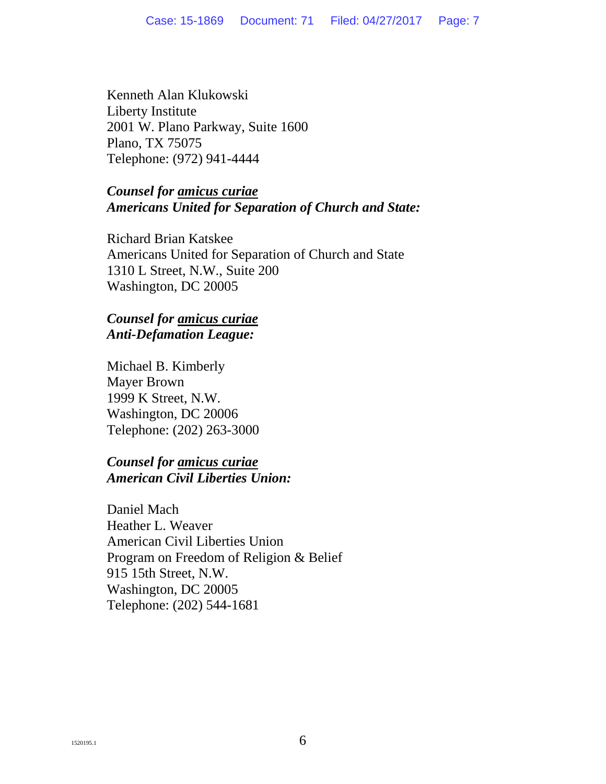Kenneth Alan Klukowski Liberty Institute 2001 W. Plano Parkway, Suite 1600 Plano, TX 75075 Telephone: (972) 941-4444

#### *Counsel for amicus curiae Americans United for Separation of Church and State:*

Richard Brian Katskee Americans United for Separation of Church and State 1310 L Street, N.W., Suite 200 Washington, DC 20005

#### *Counsel for amicus curiae Anti-Defamation League:*

Michael B. Kimberly Mayer Brown 1999 K Street, N.W. Washington, DC 20006 Telephone: (202) 263-3000

#### *Counsel for amicus curiae American Civil Liberties Union:*

Daniel Mach Heather L. Weaver American Civil Liberties Union Program on Freedom of Religion & Belief 915 15th Street, N.W. Washington, DC 20005 Telephone: (202) 544-1681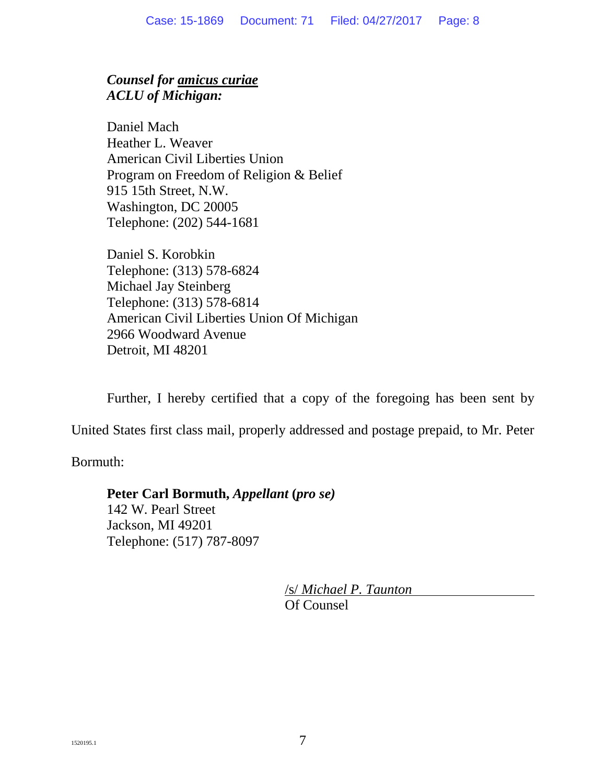### *Counsel for amicus curiae ACLU of Michigan:*

Daniel Mach Heather L. Weaver American Civil Liberties Union Program on Freedom of Religion & Belief 915 15th Street, N.W. Washington, DC 20005 Telephone: (202) 544-1681

Daniel S. Korobkin Telephone: (313) 578-6824 Michael Jay Steinberg Telephone: (313) 578-6814 American Civil Liberties Union Of Michigan 2966 Woodward Avenue Detroit, MI 48201

Further, I hereby certified that a copy of the foregoing has been sent by

United States first class mail, properly addressed and postage prepaid, to Mr. Peter

Bormuth:

# **Peter Carl Bormuth,** *Appellant* **(***pro se)*

142 W. Pearl Street Jackson, MI 49201 Telephone: (517) 787-8097

> /s/ *Michael P. Taunton* Of Counsel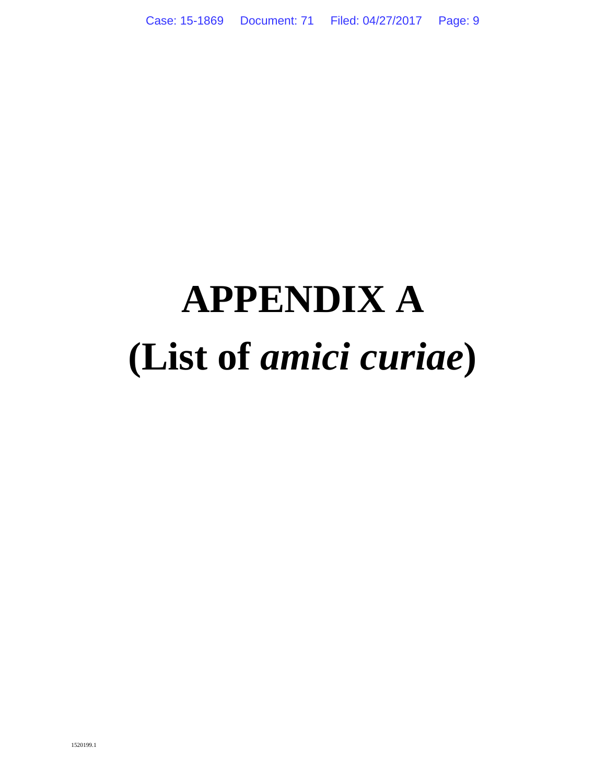# **APPENDIX A (List of** *amici curiae***)**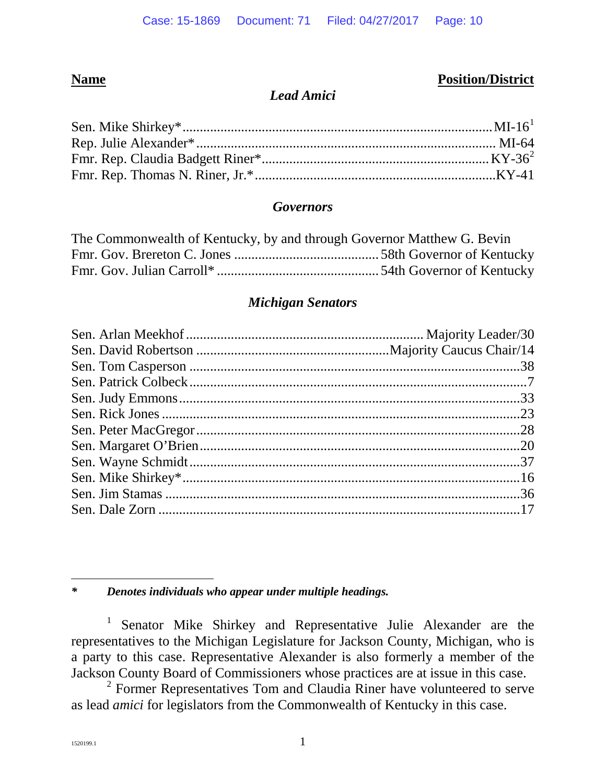#### **Name Position/District**

#### *Lead Amici*

#### *Governors*

| The Commonwealth of Kentucky, by and through Governor Matthew G. Bevin |  |
|------------------------------------------------------------------------|--|
|                                                                        |  |
|                                                                        |  |

#### *Michigan Senators*

<span id="page-9-0"></span>*\* Denotes individuals who appear under multiple headings.*

<sup>1</sup> Senator Mike Shirkey and Representative Julie Alexander are the representatives to the Michigan Legislature for Jackson County, Michigan, who is a party to this case. Representative Alexander is also formerly a member of the Jackson County Board of Commissioners whose practices are at issue in this case.

<span id="page-9-1"></span><sup>2</sup> Former Representatives Tom and Claudia Riner have volunteered to serve as lead *amici* for legislators from the Commonwealth of Kentucky in this case.

 $\overline{a}$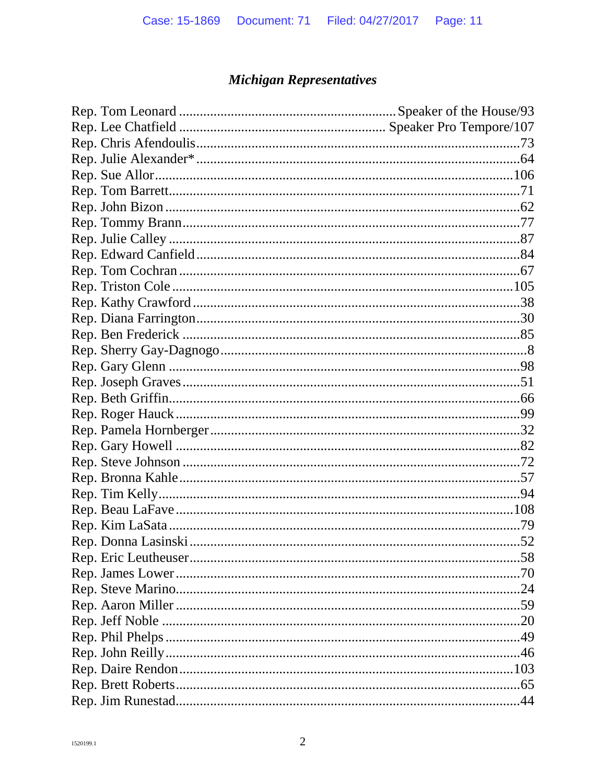# **Michigan Representatives**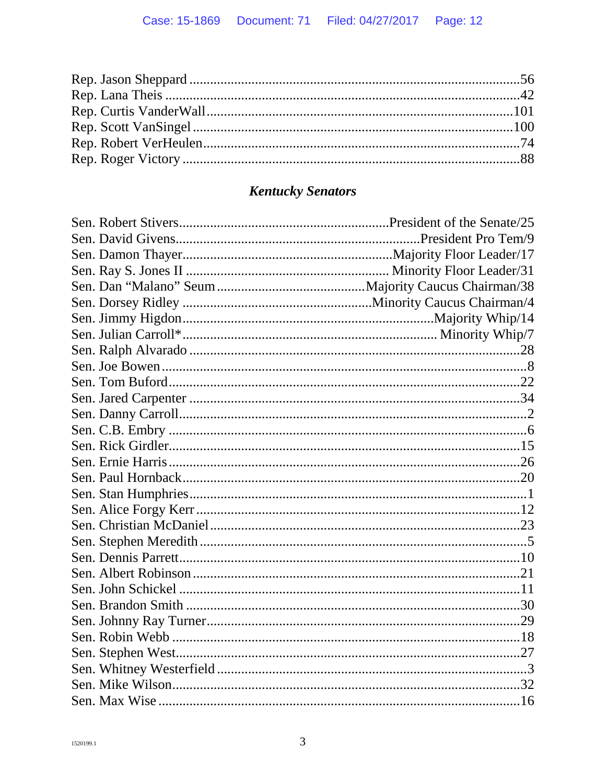# **Kentucky Senators**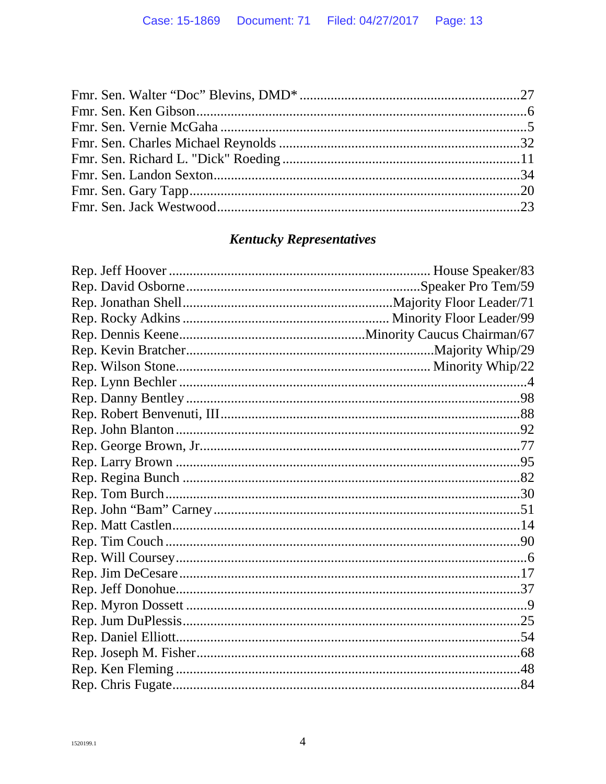# **Kentucky Representatives**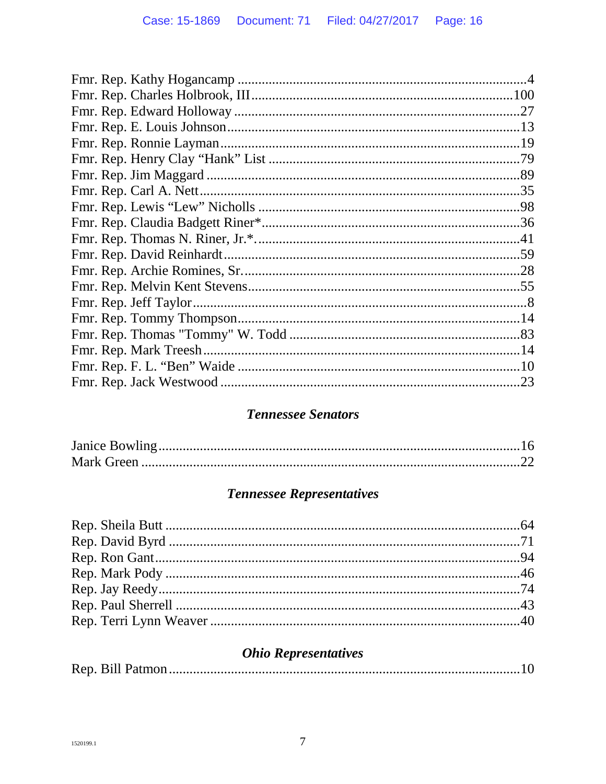| .23 |
|-----|
|     |

### **Tennessee Senators**

# **Tennessee Representatives**

# **Ohio Representatives**

|--|--|--|--|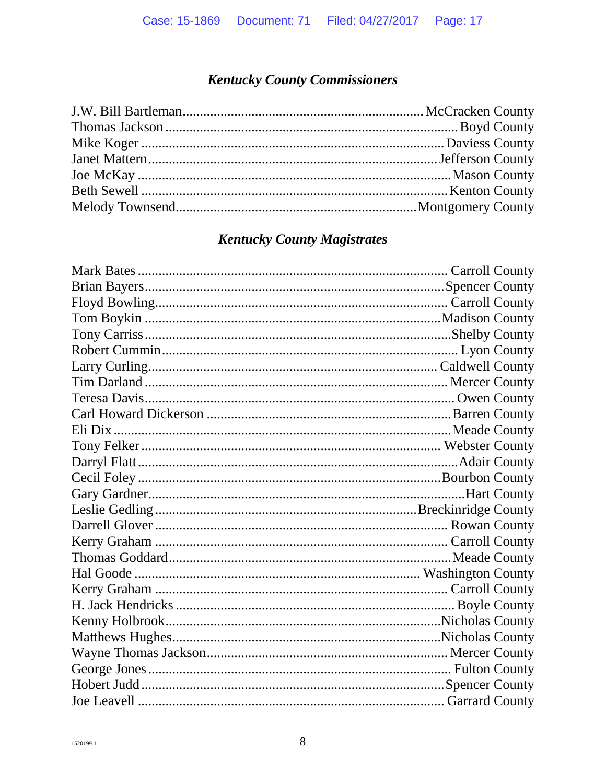# **Kentucky County Commissioners**

## **Kentucky County Magistrates**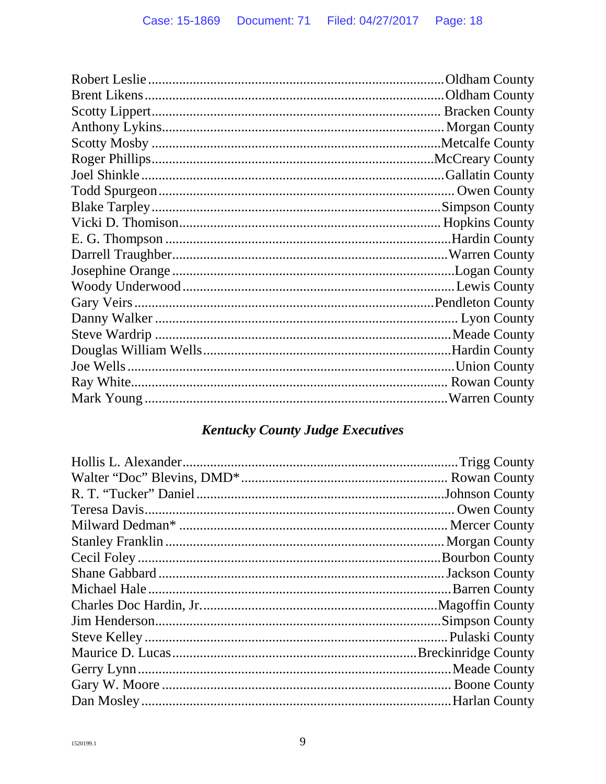# **Kentucky County Judge Executives**